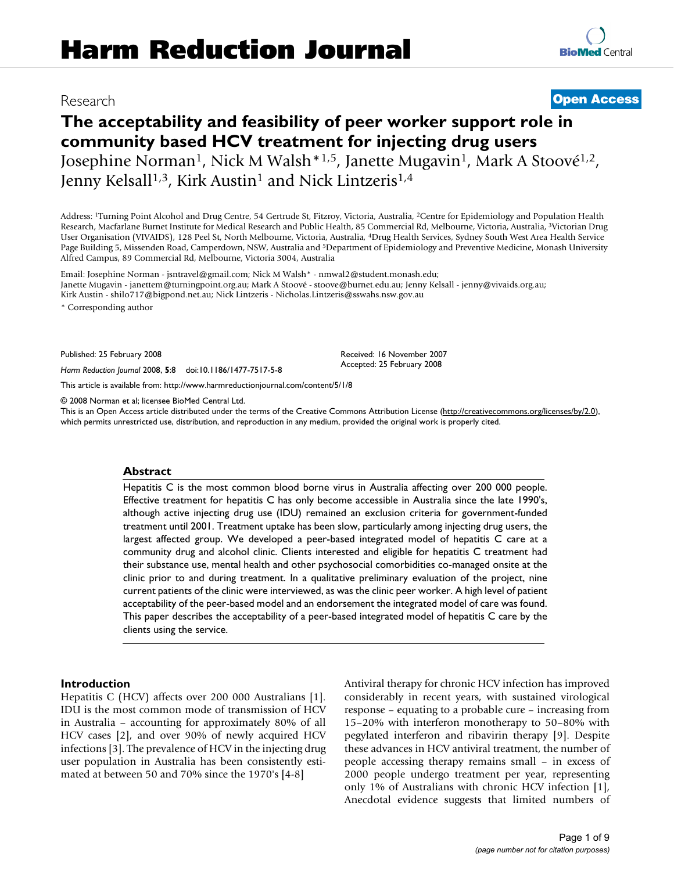# **The acceptability and feasibility of peer worker support role in community based HCV treatment for injecting drug users** Josephine Norman<sup>1</sup>, Nick M Walsh<sup>\*1,5</sup>, Janette Mugavin<sup>1</sup>, Mark A Stoové<sup>1,2</sup>, Jenny Kelsall<sup>1,3</sup>, Kirk Austin<sup>1</sup> and Nick Lintzeris<sup>1,4</sup>

Address: 1Turning Point Alcohol and Drug Centre, 54 Gertrude St, Fitzroy, Victoria, Australia, 2Centre for Epidemiology and Population Health Research, Macfarlane Burnet Institute for Medical Research and Public Health, 85 Commercial Rd, Melbourne, Victoria, Australia, 3Victorian Drug User Organisation (VIVAIDS), 128 Peel St, North Melbourne, Victoria, Australia, 4Drug Health Services, Sydney South West Area Health Service Page Building 5, Missenden Road, Camperdown, NSW, Australia and 5Department of Epidemiology and Preventive Medicine, Monash University Alfred Campus, 89 Commercial Rd, Melbourne, Victoria 3004, Australia

Email: Josephine Norman - jsntravel@gmail.com; Nick M Walsh\* - nmwal2@student.monash.edu; Janette Mugavin - janettem@turningpoint.org.au; Mark A Stoové - stoove@burnet.edu.au; Jenny Kelsall - jenny@vivaids.org.au; Kirk Austin - shilo717@bigpond.net.au; Nick Lintzeris - Nicholas.Lintzeris@sswahs.nsw.gov.au

\* Corresponding author

Published: 25 February 2008

*Harm Reduction Journal* 2008, **5**:8 doi:10.1186/1477-7517-5-8

[This article is available from: http://www.harmreductionjournal.com/content/5/1/8](http://www.harmreductionjournal.com/content/5/1/8)

© 2008 Norman et al; licensee BioMed Central Ltd.

This is an Open Access article distributed under the terms of the Creative Commons Attribution License [\(http://creativecommons.org/licenses/by/2.0\)](http://creativecommons.org/licenses/by/2.0), which permits unrestricted use, distribution, and reproduction in any medium, provided the original work is properly cited.

Received: 16 November 2007 Accepted: 25 February 2008

### **Abstract**

Hepatitis C is the most common blood borne virus in Australia affecting over 200 000 people. Effective treatment for hepatitis C has only become accessible in Australia since the late 1990's, although active injecting drug use (IDU) remained an exclusion criteria for government-funded treatment until 2001. Treatment uptake has been slow, particularly among injecting drug users, the largest affected group. We developed a peer-based integrated model of hepatitis C care at a community drug and alcohol clinic. Clients interested and eligible for hepatitis C treatment had their substance use, mental health and other psychosocial comorbidities co-managed onsite at the clinic prior to and during treatment. In a qualitative preliminary evaluation of the project, nine current patients of the clinic were interviewed, as was the clinic peer worker. A high level of patient acceptability of the peer-based model and an endorsement the integrated model of care was found. This paper describes the acceptability of a peer-based integrated model of hepatitis C care by the clients using the service.

#### **Introduction**

Hepatitis C (HCV) affects over 200 000 Australians [1]. IDU is the most common mode of transmission of HCV in Australia – accounting for approximately 80% of all HCV cases [2], and over 90% of newly acquired HCV infections [3]. The prevalence of HCV in the injecting drug user population in Australia has been consistently estimated at between 50 and 70% since the 1970's [4-8]

Antiviral therapy for chronic HCV infection has improved considerably in recent years, with sustained virological response – equating to a probable cure – increasing from 15–20% with interferon monotherapy to 50–80% with pegylated interferon and ribavirin therapy [9]. Despite these advances in HCV antiviral treatment, the number of people accessing therapy remains small – in excess of 2000 people undergo treatment per year, representing only 1% of Australians with chronic HCV infection [1], Anecdotal evidence suggests that limited numbers of

# Research **[Open Access](http://www.biomedcentral.com/info/about/charter/)**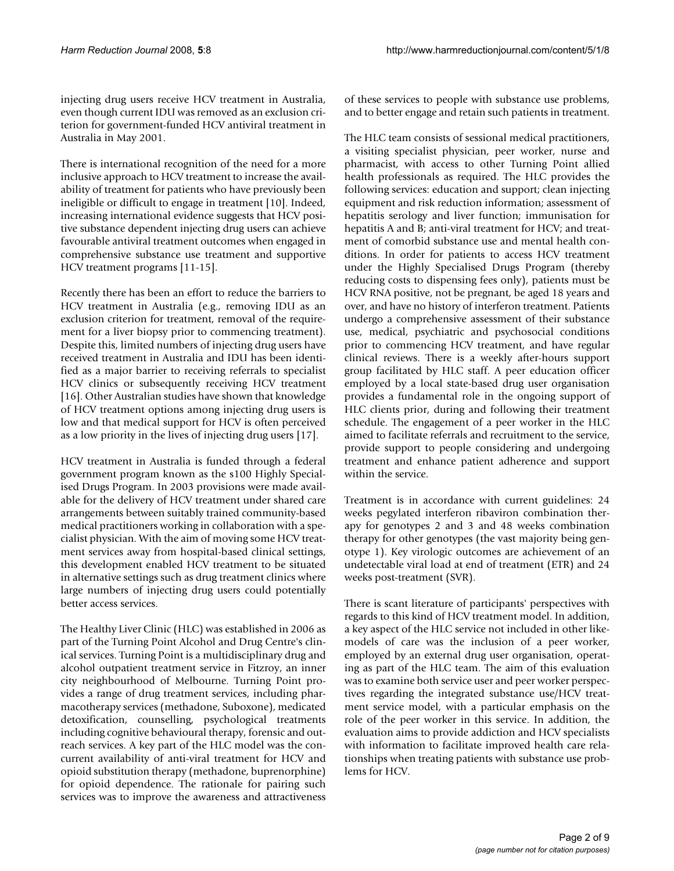injecting drug users receive HCV treatment in Australia, even though current IDU was removed as an exclusion criterion for government-funded HCV antiviral treatment in Australia in May 2001.

There is international recognition of the need for a more inclusive approach to HCV treatment to increase the availability of treatment for patients who have previously been ineligible or difficult to engage in treatment [10]. Indeed, increasing international evidence suggests that HCV positive substance dependent injecting drug users can achieve favourable antiviral treatment outcomes when engaged in comprehensive substance use treatment and supportive HCV treatment programs [11-15].

Recently there has been an effort to reduce the barriers to HCV treatment in Australia (e.g., removing IDU as an exclusion criterion for treatment, removal of the requirement for a liver biopsy prior to commencing treatment). Despite this, limited numbers of injecting drug users have received treatment in Australia and IDU has been identified as a major barrier to receiving referrals to specialist HCV clinics or subsequently receiving HCV treatment [16]. Other Australian studies have shown that knowledge of HCV treatment options among injecting drug users is low and that medical support for HCV is often perceived as a low priority in the lives of injecting drug users [17].

HCV treatment in Australia is funded through a federal government program known as the s100 Highly Specialised Drugs Program. In 2003 provisions were made available for the delivery of HCV treatment under shared care arrangements between suitably trained community-based medical practitioners working in collaboration with a specialist physician. With the aim of moving some HCV treatment services away from hospital-based clinical settings, this development enabled HCV treatment to be situated in alternative settings such as drug treatment clinics where large numbers of injecting drug users could potentially better access services.

The Healthy Liver Clinic (HLC) was established in 2006 as part of the Turning Point Alcohol and Drug Centre's clinical services. Turning Point is a multidisciplinary drug and alcohol outpatient treatment service in Fitzroy, an inner city neighbourhood of Melbourne. Turning Point provides a range of drug treatment services, including pharmacotherapy services (methadone, Suboxone), medicated detoxification, counselling, psychological treatments including cognitive behavioural therapy, forensic and outreach services. A key part of the HLC model was the concurrent availability of anti-viral treatment for HCV and opioid substitution therapy (methadone, buprenorphine) for opioid dependence. The rationale for pairing such services was to improve the awareness and attractiveness of these services to people with substance use problems, and to better engage and retain such patients in treatment.

The HLC team consists of sessional medical practitioners, a visiting specialist physician, peer worker, nurse and pharmacist, with access to other Turning Point allied health professionals as required. The HLC provides the following services: education and support; clean injecting equipment and risk reduction information; assessment of hepatitis serology and liver function; immunisation for hepatitis A and B; anti-viral treatment for HCV; and treatment of comorbid substance use and mental health conditions. In order for patients to access HCV treatment under the Highly Specialised Drugs Program (thereby reducing costs to dispensing fees only), patients must be HCV RNA positive, not be pregnant, be aged 18 years and over, and have no history of interferon treatment. Patients undergo a comprehensive assessment of their substance use, medical, psychiatric and psychosocial conditions prior to commencing HCV treatment, and have regular clinical reviews. There is a weekly after-hours support group facilitated by HLC staff. A peer education officer employed by a local state-based drug user organisation provides a fundamental role in the ongoing support of HLC clients prior, during and following their treatment schedule. The engagement of a peer worker in the HLC aimed to facilitate referrals and recruitment to the service, provide support to people considering and undergoing treatment and enhance patient adherence and support within the service.

Treatment is in accordance with current guidelines: 24 weeks pegylated interferon ribaviron combination therapy for genotypes 2 and 3 and 48 weeks combination therapy for other genotypes (the vast majority being genotype 1). Key virologic outcomes are achievement of an undetectable viral load at end of treatment (ETR) and 24 weeks post-treatment (SVR).

There is scant literature of participants' perspectives with regards to this kind of HCV treatment model. In addition, a key aspect of the HLC service not included in other likemodels of care was the inclusion of a peer worker, employed by an external drug user organisation, operating as part of the HLC team. The aim of this evaluation was to examine both service user and peer worker perspectives regarding the integrated substance use/HCV treatment service model, with a particular emphasis on the role of the peer worker in this service. In addition, the evaluation aims to provide addiction and HCV specialists with information to facilitate improved health care relationships when treating patients with substance use problems for HCV.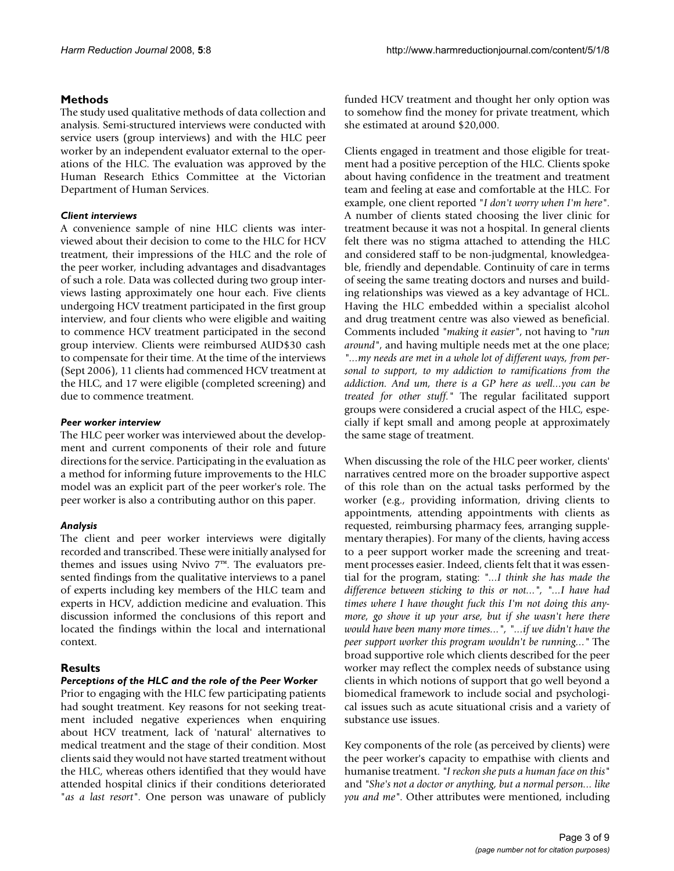# **Methods**

The study used qualitative methods of data collection and analysis. Semi-structured interviews were conducted with service users (group interviews) and with the HLC peer worker by an independent evaluator external to the operations of the HLC. The evaluation was approved by the Human Research Ethics Committee at the Victorian Department of Human Services.

# *Client interviews*

A convenience sample of nine HLC clients was interviewed about their decision to come to the HLC for HCV treatment, their impressions of the HLC and the role of the peer worker, including advantages and disadvantages of such a role. Data was collected during two group interviews lasting approximately one hour each. Five clients undergoing HCV treatment participated in the first group interview, and four clients who were eligible and waiting to commence HCV treatment participated in the second group interview. Clients were reimbursed AUD\$30 cash to compensate for their time. At the time of the interviews (Sept 2006), 11 clients had commenced HCV treatment at the HLC, and 17 were eligible (completed screening) and due to commence treatment.

### *Peer worker interview*

The HLC peer worker was interviewed about the development and current components of their role and future directions for the service. Participating in the evaluation as a method for informing future improvements to the HLC model was an explicit part of the peer worker's role. The peer worker is also a contributing author on this paper.

# *Analysis*

The client and peer worker interviews were digitally recorded and transcribed. These were initially analysed for themes and issues using Nvivo 7™. The evaluators presented findings from the qualitative interviews to a panel of experts including key members of the HLC team and experts in HCV, addiction medicine and evaluation. This discussion informed the conclusions of this report and located the findings within the local and international context.

# **Results**

### *Perceptions of the HLC and the role of the Peer Worker*

Prior to engaging with the HLC few participating patients had sought treatment. Key reasons for not seeking treatment included negative experiences when enquiring about HCV treatment, lack of 'natural' alternatives to medical treatment and the stage of their condition. Most clients said they would not have started treatment without the HLC, whereas others identified that they would have attended hospital clinics if their conditions deteriorated "*as a last resort"*. One person was unaware of publicly funded HCV treatment and thought her only option was to somehow find the money for private treatment, which she estimated at around \$20,000.

Clients engaged in treatment and those eligible for treatment had a positive perception of the HLC. Clients spoke about having confidence in the treatment and treatment team and feeling at ease and comfortable at the HLC. For example, one client reported "*I don't worry when I'm here"*. A number of clients stated choosing the liver clinic for treatment because it was not a hospital. In general clients felt there was no stigma attached to attending the HLC and considered staff to be non-judgmental, knowledgeable, friendly and dependable. Continuity of care in terms of seeing the same treating doctors and nurses and building relationships was viewed as a key advantage of HCL. Having the HLC embedded within a specialist alcohol and drug treatment centre was also viewed as beneficial. Comments included *"making it easier"*, not having to *"run around"*, and having multiple needs met at the one place; *"...my needs are met in a whole lot of different ways, from personal to support, to my addiction to ramifications from the addiction. And um, there is a GP here as well...you can be treated for other stuff."* The regular facilitated support groups were considered a crucial aspect of the HLC, especially if kept small and among people at approximately the same stage of treatment.

When discussing the role of the HLC peer worker, clients' narratives centred more on the broader supportive aspect of this role than on the actual tasks performed by the worker (e.g., providing information, driving clients to appointments, attending appointments with clients as requested, reimbursing pharmacy fees, arranging supplementary therapies). For many of the clients, having access to a peer support worker made the screening and treatment processes easier. Indeed, clients felt that it was essential for the program, stating: *"...I think she has made the difference between sticking to this or not...", "...I have had times where I have thought fuck this I'm not doing this anymore, go shove it up your arse, but if she wasn't here there would have been many more times...", "...if we didn't have the peer support worker this program wouldn't be running..."* The broad supportive role which clients described for the peer worker may reflect the complex needs of substance using clients in which notions of support that go well beyond a biomedical framework to include social and psychological issues such as acute situational crisis and a variety of substance use issues.

Key components of the role (as perceived by clients) were the peer worker's capacity to empathise with clients and humanise treatment. *"I reckon she puts a human face on this"* and *"She's not a doctor or anything, but a normal person... like you and me"*. Other attributes were mentioned, including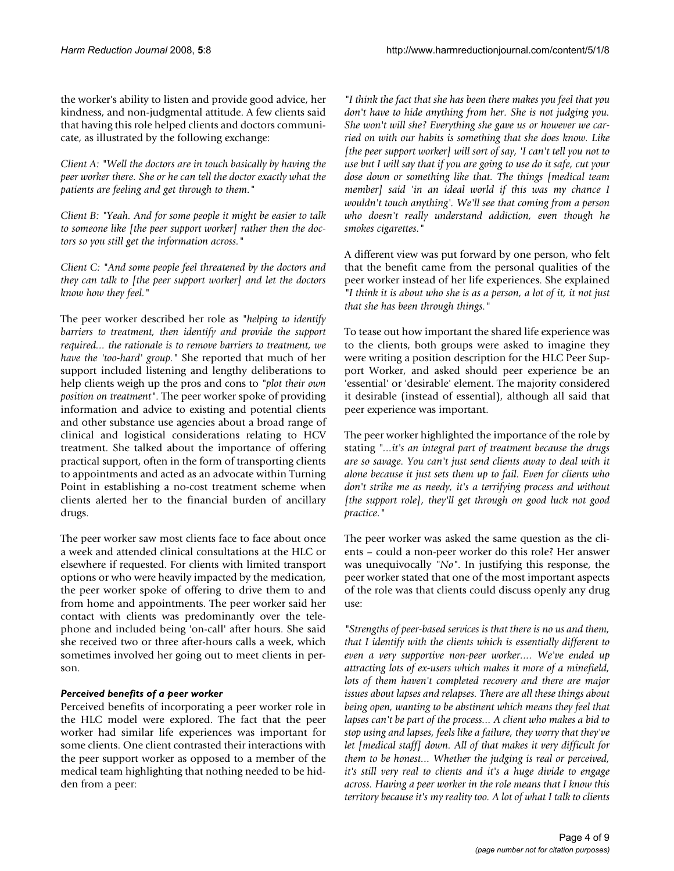the worker's ability to listen and provide good advice, her kindness, and non-judgmental attitude. A few clients said that having this role helped clients and doctors communicate, as illustrated by the following exchange:

*Client A: "Well the doctors are in touch basically by having the peer worker there. She or he can tell the doctor exactly what the patients are feeling and get through to them."*

*Client B: "Yeah. And for some people it might be easier to talk to someone like [the peer support worker] rather then the doctors so you still get the information across."*

*Client C: "And some people feel threatened by the doctors and they can talk to [the peer support worker] and let the doctors know how they feel."*

The peer worker described her role as *"helping to identify barriers to treatment, then identify and provide the support required... the rationale is to remove barriers to treatment, we have the 'too-hard' group."* She reported that much of her support included listening and lengthy deliberations to help clients weigh up the pros and cons to *"plot their own position on treatment"*. The peer worker spoke of providing information and advice to existing and potential clients and other substance use agencies about a broad range of clinical and logistical considerations relating to HCV treatment. She talked about the importance of offering practical support, often in the form of transporting clients to appointments and acted as an advocate within Turning Point in establishing a no-cost treatment scheme when clients alerted her to the financial burden of ancillary drugs.

The peer worker saw most clients face to face about once a week and attended clinical consultations at the HLC or elsewhere if requested. For clients with limited transport options or who were heavily impacted by the medication, the peer worker spoke of offering to drive them to and from home and appointments. The peer worker said her contact with clients was predominantly over the telephone and included being 'on-call' after hours. She said she received two or three after-hours calls a week, which sometimes involved her going out to meet clients in person.

### *Perceived benefits of a peer worker*

Perceived benefits of incorporating a peer worker role in the HLC model were explored. The fact that the peer worker had similar life experiences was important for some clients. One client contrasted their interactions with the peer support worker as opposed to a member of the medical team highlighting that nothing needed to be hidden from a peer:

*"I think the fact that she has been there makes you feel that you don't have to hide anything from her. She is not judging you. She won't will she? Everything she gave us or however we carried on with our habits is something that she does know. Like [the peer support worker] will sort of say, 'I can't tell you not to use but I will say that if you are going to use do it safe, cut your dose down or something like that. The things [medical team member] said 'in an ideal world if this was my chance I wouldn't touch anything'. We'll see that coming from a person who doesn't really understand addiction, even though he smokes cigarettes."*

A different view was put forward by one person, who felt that the benefit came from the personal qualities of the peer worker instead of her life experiences. She explained *"I think it is about who she is as a person, a lot of it, it not just that she has been through things."*

To tease out how important the shared life experience was to the clients, both groups were asked to imagine they were writing a position description for the HLC Peer Support Worker, and asked should peer experience be an 'essential' or 'desirable' element. The majority considered it desirable (instead of essential), although all said that peer experience was important.

The peer worker highlighted the importance of the role by stating *"...it's an integral part of treatment because the drugs are so savage. You can't just send clients away to deal with it alone because it just sets them up to fail. Even for clients who don't strike me as needy, it's a terrifying process and without [the support role], they'll get through on good luck not good practice."*

The peer worker was asked the same question as the clients – could a non-peer worker do this role? Her answer was unequivocally *"No"*. In justifying this response, the peer worker stated that one of the most important aspects of the role was that clients could discuss openly any drug use:

*"Strengths of peer-based services is that there is no us and them, that I identify with the clients which is essentially different to even a very supportive non-peer worker.... We've ended up attracting lots of ex-users which makes it more of a minefield, lots of them haven't completed recovery and there are major issues about lapses and relapses. There are all these things about being open, wanting to be abstinent which means they feel that lapses can't be part of the process... A client who makes a bid to stop using and lapses, feels like a failure, they worry that they've let [medical staff] down. All of that makes it very difficult for them to be honest... Whether the judging is real or perceived, it's still very real to clients and it's a huge divide to engage across. Having a peer worker in the role means that I know this territory because it's my reality too. A lot of what I talk to clients*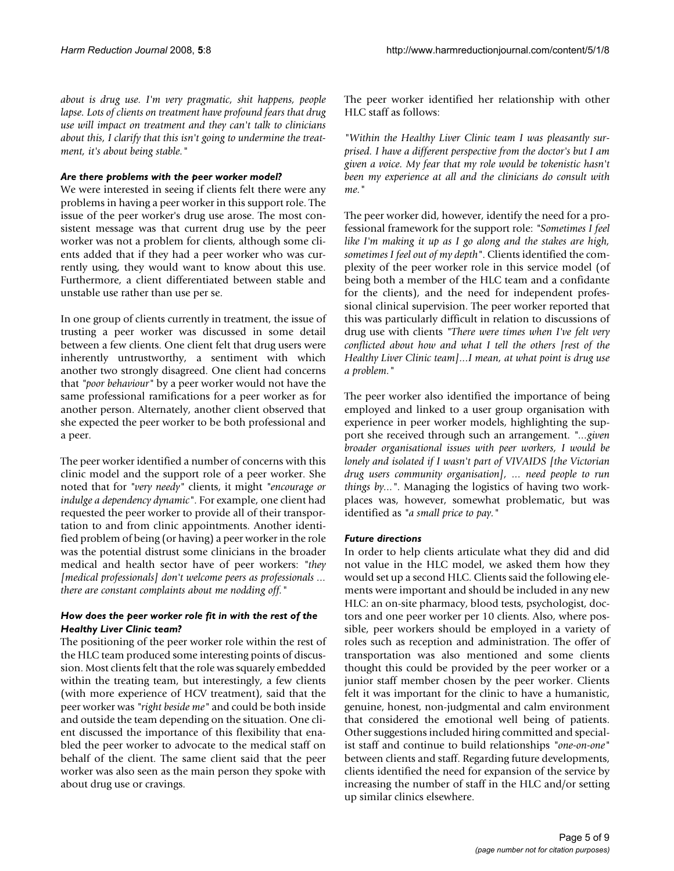*about is drug use. I'm very pragmatic, shit happens, people lapse. Lots of clients on treatment have profound fears that drug use will impact on treatment and they can't talk to clinicians about this, I clarify that this isn't going to undermine the treatment, it's about being stable."*

#### *Are there problems with the peer worker model?*

We were interested in seeing if clients felt there were any problems in having a peer worker in this support role. The issue of the peer worker's drug use arose. The most consistent message was that current drug use by the peer worker was not a problem for clients, although some clients added that if they had a peer worker who was currently using, they would want to know about this use. Furthermore, a client differentiated between stable and unstable use rather than use per se.

In one group of clients currently in treatment, the issue of trusting a peer worker was discussed in some detail between a few clients. One client felt that drug users were inherently untrustworthy, a sentiment with which another two strongly disagreed. One client had concerns that *"poor behaviour"* by a peer worker would not have the same professional ramifications for a peer worker as for another person. Alternately, another client observed that she expected the peer worker to be both professional and a peer.

The peer worker identified a number of concerns with this clinic model and the support role of a peer worker. She noted that for *"very needy"* clients, it might *"encourage or indulge a dependency dynamic"*. For example, one client had requested the peer worker to provide all of their transportation to and from clinic appointments. Another identified problem of being (or having) a peer worker in the role was the potential distrust some clinicians in the broader medical and health sector have of peer workers: *"they [medical professionals] don't welcome peers as professionals ... there are constant complaints about me nodding off."*

### *How does the peer worker role fit in with the rest of the Healthy Liver Clinic team?*

The positioning of the peer worker role within the rest of the HLC team produced some interesting points of discussion. Most clients felt that the role was squarely embedded within the treating team, but interestingly, a few clients (with more experience of HCV treatment), said that the peer worker was *"right beside me"* and could be both inside and outside the team depending on the situation. One client discussed the importance of this flexibility that enabled the peer worker to advocate to the medical staff on behalf of the client. The same client said that the peer worker was also seen as the main person they spoke with about drug use or cravings.

The peer worker identified her relationship with other HLC staff as follows:

*"Within the Healthy Liver Clinic team I was pleasantly surprised. I have a different perspective from the doctor's but I am given a voice. My fear that my role would be tokenistic hasn't been my experience at all and the clinicians do consult with me."*

The peer worker did, however, identify the need for a professional framework for the support role: *"Sometimes I feel like I'm making it up as I go along and the stakes are high, sometimes I feel out of my depth"*. Clients identified the complexity of the peer worker role in this service model (of being both a member of the HLC team and a confidante for the clients), and the need for independent professional clinical supervision. The peer worker reported that this was particularly difficult in relation to discussions of drug use with clients *"There were times when I've felt very conflicted about how and what I tell the others [rest of the Healthy Liver Clinic team]...I mean, at what point is drug use a problem."*

The peer worker also identified the importance of being employed and linked to a user group organisation with experience in peer worker models, highlighting the support she received through such an arrangement. *"...given broader organisational issues with peer workers, I would be lonely and isolated if I wasn't part of VIVAIDS [the Victorian drug users community organisation], ... need people to run things by..."*. Managing the logistics of having two workplaces was, however, somewhat problematic, but was identified as *"a small price to pay."*

### *Future directions*

In order to help clients articulate what they did and did not value in the HLC model, we asked them how they would set up a second HLC. Clients said the following elements were important and should be included in any new HLC: an on-site pharmacy, blood tests, psychologist, doctors and one peer worker per 10 clients. Also, where possible, peer workers should be employed in a variety of roles such as reception and administration. The offer of transportation was also mentioned and some clients thought this could be provided by the peer worker or a junior staff member chosen by the peer worker. Clients felt it was important for the clinic to have a humanistic, genuine, honest, non-judgmental and calm environment that considered the emotional well being of patients. Other suggestions included hiring committed and specialist staff and continue to build relationships *"one-on-one"* between clients and staff. Regarding future developments, clients identified the need for expansion of the service by increasing the number of staff in the HLC and/or setting up similar clinics elsewhere.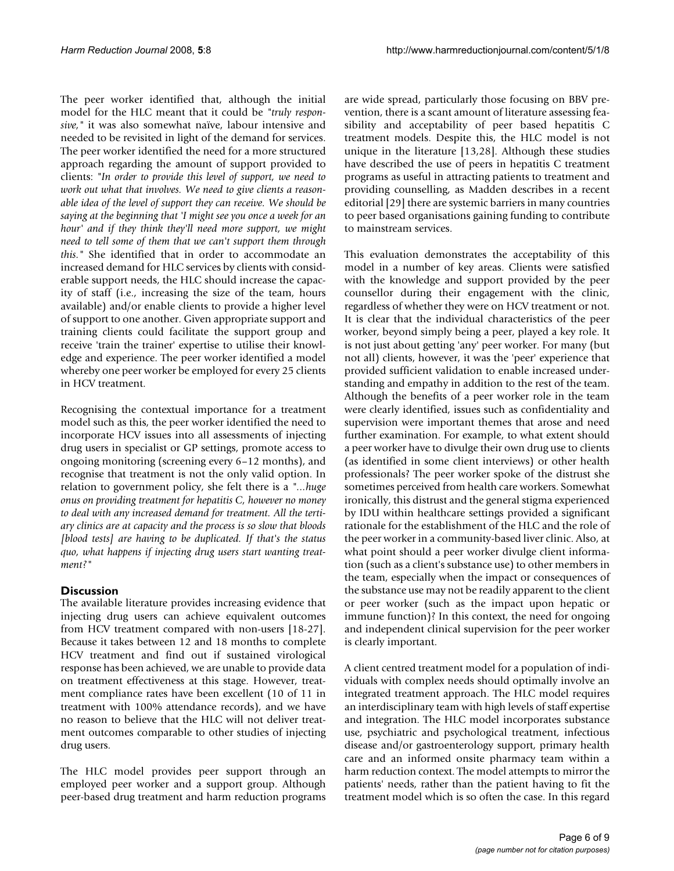The peer worker identified that, although the initial model for the HLC meant that it could be *"truly responsive,"* it was also somewhat naïve, labour intensive and needed to be revisited in light of the demand for services. The peer worker identified the need for a more structured approach regarding the amount of support provided to clients: *"In order to provide this level of support, we need to work out what that involves. We need to give clients a reasonable idea of the level of support they can receive. We should be saying at the beginning that 'I might see you once a week for an hour' and if they think they'll need more support, we might need to tell some of them that we can't support them through this."* She identified that in order to accommodate an increased demand for HLC services by clients with considerable support needs, the HLC should increase the capacity of staff (i.e., increasing the size of the team, hours available) and/or enable clients to provide a higher level of support to one another. Given appropriate support and training clients could facilitate the support group and receive 'train the trainer' expertise to utilise their knowledge and experience. The peer worker identified a model whereby one peer worker be employed for every 25 clients in HCV treatment.

Recognising the contextual importance for a treatment model such as this, the peer worker identified the need to incorporate HCV issues into all assessments of injecting drug users in specialist or GP settings, promote access to ongoing monitoring (screening every 6–12 months), and recognise that treatment is not the only valid option. In relation to government policy, she felt there is a *"...huge onus on providing treatment for hepatitis C, however no money to deal with any increased demand for treatment. All the tertiary clinics are at capacity and the process is so slow that bloods [blood tests] are having to be duplicated. If that's the status quo, what happens if injecting drug users start wanting treatment?"*

# **Discussion**

The available literature provides increasing evidence that injecting drug users can achieve equivalent outcomes from HCV treatment compared with non-users [18-27]. Because it takes between 12 and 18 months to complete HCV treatment and find out if sustained virological response has been achieved, we are unable to provide data on treatment effectiveness at this stage. However, treatment compliance rates have been excellent (10 of 11 in treatment with 100% attendance records), and we have no reason to believe that the HLC will not deliver treatment outcomes comparable to other studies of injecting drug users.

The HLC model provides peer support through an employed peer worker and a support group. Although peer-based drug treatment and harm reduction programs are wide spread, particularly those focusing on BBV prevention, there is a scant amount of literature assessing feasibility and acceptability of peer based hepatitis C treatment models. Despite this, the HLC model is not unique in the literature [13,28]. Although these studies have described the use of peers in hepatitis C treatment programs as useful in attracting patients to treatment and providing counselling, as Madden describes in a recent editorial [29] there are systemic barriers in many countries to peer based organisations gaining funding to contribute to mainstream services.

This evaluation demonstrates the acceptability of this model in a number of key areas. Clients were satisfied with the knowledge and support provided by the peer counsellor during their engagement with the clinic, regardless of whether they were on HCV treatment or not. It is clear that the individual characteristics of the peer worker, beyond simply being a peer, played a key role. It is not just about getting 'any' peer worker. For many (but not all) clients, however, it was the 'peer' experience that provided sufficient validation to enable increased understanding and empathy in addition to the rest of the team. Although the benefits of a peer worker role in the team were clearly identified, issues such as confidentiality and supervision were important themes that arose and need further examination. For example, to what extent should a peer worker have to divulge their own drug use to clients (as identified in some client interviews) or other health professionals? The peer worker spoke of the distrust she sometimes perceived from health care workers. Somewhat ironically, this distrust and the general stigma experienced by IDU within healthcare settings provided a significant rationale for the establishment of the HLC and the role of the peer worker in a community-based liver clinic. Also, at what point should a peer worker divulge client information (such as a client's substance use) to other members in the team, especially when the impact or consequences of the substance use may not be readily apparent to the client or peer worker (such as the impact upon hepatic or immune function)? In this context, the need for ongoing and independent clinical supervision for the peer worker is clearly important.

A client centred treatment model for a population of individuals with complex needs should optimally involve an integrated treatment approach. The HLC model requires an interdisciplinary team with high levels of staff expertise and integration. The HLC model incorporates substance use, psychiatric and psychological treatment, infectious disease and/or gastroenterology support, primary health care and an informed onsite pharmacy team within a harm reduction context. The model attempts to mirror the patients' needs, rather than the patient having to fit the treatment model which is so often the case. In this regard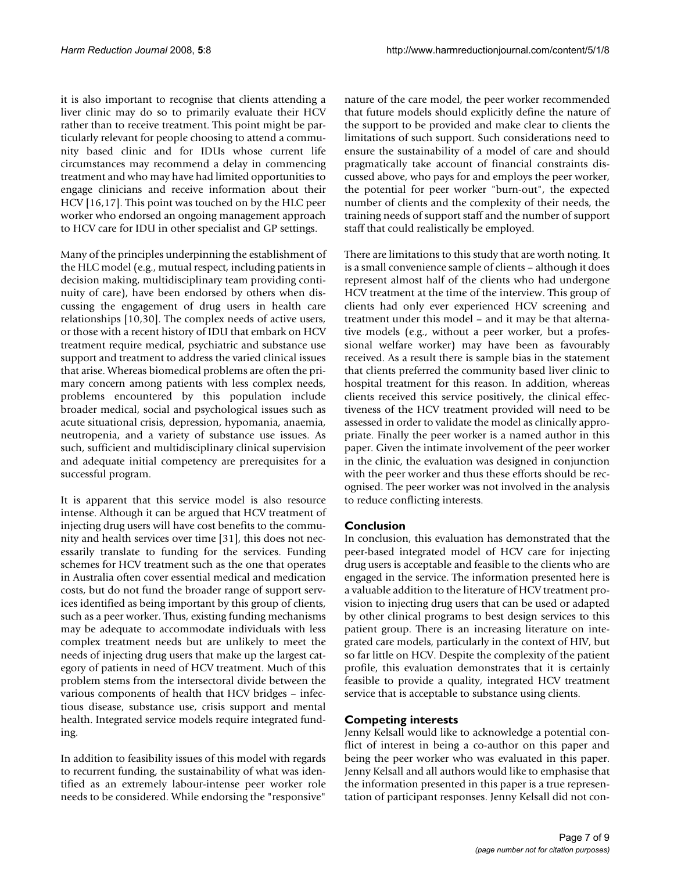it is also important to recognise that clients attending a liver clinic may do so to primarily evaluate their HCV rather than to receive treatment. This point might be particularly relevant for people choosing to attend a community based clinic and for IDUs whose current life circumstances may recommend a delay in commencing treatment and who may have had limited opportunities to engage clinicians and receive information about their HCV [16,17]. This point was touched on by the HLC peer worker who endorsed an ongoing management approach to HCV care for IDU in other specialist and GP settings.

Many of the principles underpinning the establishment of the HLC model (e.g., mutual respect, including patients in decision making, multidisciplinary team providing continuity of care), have been endorsed by others when discussing the engagement of drug users in health care relationships [10,30]. The complex needs of active users, or those with a recent history of IDU that embark on HCV treatment require medical, psychiatric and substance use support and treatment to address the varied clinical issues that arise. Whereas biomedical problems are often the primary concern among patients with less complex needs, problems encountered by this population include broader medical, social and psychological issues such as acute situational crisis, depression, hypomania, anaemia, neutropenia, and a variety of substance use issues. As such, sufficient and multidisciplinary clinical supervision and adequate initial competency are prerequisites for a successful program.

It is apparent that this service model is also resource intense. Although it can be argued that HCV treatment of injecting drug users will have cost benefits to the community and health services over time [31], this does not necessarily translate to funding for the services. Funding schemes for HCV treatment such as the one that operates in Australia often cover essential medical and medication costs, but do not fund the broader range of support services identified as being important by this group of clients, such as a peer worker. Thus, existing funding mechanisms may be adequate to accommodate individuals with less complex treatment needs but are unlikely to meet the needs of injecting drug users that make up the largest category of patients in need of HCV treatment. Much of this problem stems from the intersectoral divide between the various components of health that HCV bridges – infectious disease, substance use, crisis support and mental health. Integrated service models require integrated funding.

In addition to feasibility issues of this model with regards to recurrent funding, the sustainability of what was identified as an extremely labour-intense peer worker role needs to be considered. While endorsing the "responsive"

nature of the care model, the peer worker recommended that future models should explicitly define the nature of the support to be provided and make clear to clients the limitations of such support. Such considerations need to ensure the sustainability of a model of care and should pragmatically take account of financial constraints discussed above, who pays for and employs the peer worker, the potential for peer worker "burn-out", the expected number of clients and the complexity of their needs, the training needs of support staff and the number of support staff that could realistically be employed.

There are limitations to this study that are worth noting. It is a small convenience sample of clients – although it does represent almost half of the clients who had undergone HCV treatment at the time of the interview. This group of clients had only ever experienced HCV screening and treatment under this model – and it may be that alternative models (e.g., without a peer worker, but a professional welfare worker) may have been as favourably received. As a result there is sample bias in the statement that clients preferred the community based liver clinic to hospital treatment for this reason. In addition, whereas clients received this service positively, the clinical effectiveness of the HCV treatment provided will need to be assessed in order to validate the model as clinically appropriate. Finally the peer worker is a named author in this paper. Given the intimate involvement of the peer worker in the clinic, the evaluation was designed in conjunction with the peer worker and thus these efforts should be recognised. The peer worker was not involved in the analysis to reduce conflicting interests.

### **Conclusion**

In conclusion, this evaluation has demonstrated that the peer-based integrated model of HCV care for injecting drug users is acceptable and feasible to the clients who are engaged in the service. The information presented here is a valuable addition to the literature of HCV treatment provision to injecting drug users that can be used or adapted by other clinical programs to best design services to this patient group. There is an increasing literature on integrated care models, particularly in the context of HIV, but so far little on HCV. Despite the complexity of the patient profile, this evaluation demonstrates that it is certainly feasible to provide a quality, integrated HCV treatment service that is acceptable to substance using clients.

# **Competing interests**

Jenny Kelsall would like to acknowledge a potential conflict of interest in being a co-author on this paper and being the peer worker who was evaluated in this paper. Jenny Kelsall and all authors would like to emphasise that the information presented in this paper is a true representation of participant responses. Jenny Kelsall did not con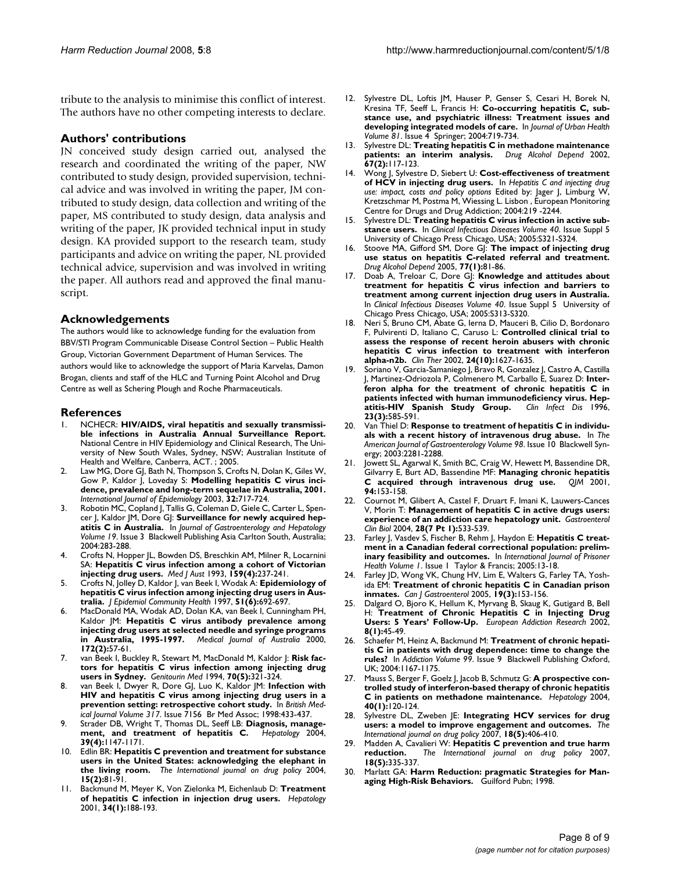tribute to the analysis to minimise this conflict of interest. The authors have no other competing interests to declare.

#### **Authors' contributions**

JN conceived study design carried out, analysed the research and coordinated the writing of the paper, NW contributed to study design, provided supervision, technical advice and was involved in writing the paper, JM contributed to study design, data collection and writing of the paper, MS contributed to study design, data analysis and writing of the paper, JK provided technical input in study design. KA provided support to the research team, study participants and advice on writing the paper, NL provided technical advice, supervision and was involved in writing the paper. All authors read and approved the final manuscript.

#### **Acknowledgements**

The authors would like to acknowledge funding for the evaluation from BBV/STI Program Communicable Disease Control Section – Public Health Group, Victorian Government Department of Human Services. The authors would like to acknowledge the support of Maria Karvelas, Damon Brogan, clients and staff of the HLC and Turning Point Alcohol and Drug Centre as well as Schering Plough and Roche Pharmaceuticals.

#### **References**

- 1. NCHECR: **HIV/AIDS, viral hepatitis and sexually transmissible infections in Australia Annual Surveillance Report.** National Centre in HIV Epidemiology and Clinical Research, The University of New South Wales, Sydney, NSW; Australian Institute of Health and Welfare, Canberra, ACT. ; 2005.
- 2. Law MG, Dore GJ, Bath N, Thompson S, Crofts N, Dolan K, Giles W, Gow P, Kaldor J, Loveday S: **[Modelling hepatitis C virus inci](http://www.ncbi.nlm.nih.gov/entrez/query.fcgi?cmd=Retrieve&db=PubMed&dopt=Abstract&list_uids=14559738)[dence, prevalence and long-term sequelae in Australia, 2001.](http://www.ncbi.nlm.nih.gov/entrez/query.fcgi?cmd=Retrieve&db=PubMed&dopt=Abstract&list_uids=14559738)** *International Journal of Epidemiology* 2003, **32:**717-724.
- 3. Robotin MC, Copland J, Tallis G, Coleman D, Giele C, Carter L, Spencer J, Kaldor JM, Dore GJ: **[Surveillance for newly acquired hep](http://www.ncbi.nlm.nih.gov/entrez/query.fcgi?cmd=Retrieve&db=PubMed&dopt=Abstract&list_uids=14748875)[atitis C in Australia.](http://www.ncbi.nlm.nih.gov/entrez/query.fcgi?cmd=Retrieve&db=PubMed&dopt=Abstract&list_uids=14748875)** In *Journal of Gastroenterology and Hepatology Volume 19*. Issue 3 Blackwell Publishing Asia Carlton South, Australia; 2004:283-288.
- 4. Crofts N, Hopper JL, Bowden DS, Breschkin AM, Milner R, Locarnini SA: **[Hepatitis C virus infection among a cohort of Victorian](http://www.ncbi.nlm.nih.gov/entrez/query.fcgi?cmd=Retrieve&db=PubMed&dopt=Abstract&list_uids=7692222) [injecting drug users.](http://www.ncbi.nlm.nih.gov/entrez/query.fcgi?cmd=Retrieve&db=PubMed&dopt=Abstract&list_uids=7692222)** *Med J Aust* 1993, **159(4):**237-241.
- 5. Crofts N, Jolley D, Kaldor J, van Beek I, Wodak A: **[Epidemiology of](http://www.ncbi.nlm.nih.gov/entrez/query.fcgi?cmd=Retrieve&db=PubMed&dopt=Abstract&list_uids=9519134) [hepatitis C virus infection among injecting drug users in Aus](http://www.ncbi.nlm.nih.gov/entrez/query.fcgi?cmd=Retrieve&db=PubMed&dopt=Abstract&list_uids=9519134)[tralia.](http://www.ncbi.nlm.nih.gov/entrez/query.fcgi?cmd=Retrieve&db=PubMed&dopt=Abstract&list_uids=9519134)** *J Epidemiol Community Health* 1997, **51(6):**692-697.
- 6. MacDonald MA, Wodak AD, Dolan KA, van Beek I, Cunningham PH, Kaldor JM: **[Hepatitis C virus antibody prevalence among](http://www.ncbi.nlm.nih.gov/entrez/query.fcgi?cmd=Retrieve&db=PubMed&dopt=Abstract&list_uids=10738473) [injecting drug users at selected needle and syringe programs](http://www.ncbi.nlm.nih.gov/entrez/query.fcgi?cmd=Retrieve&db=PubMed&dopt=Abstract&list_uids=10738473) [in Australia, 1995-1997.](http://www.ncbi.nlm.nih.gov/entrez/query.fcgi?cmd=Retrieve&db=PubMed&dopt=Abstract&list_uids=10738473)** *Medical Journal of Australia* 2000, **172(2):**57-61.
- van Beek I, Buckley R, Stewart M, MacDonald M, Kaldor J: [Risk fac](http://www.ncbi.nlm.nih.gov/entrez/query.fcgi?cmd=Retrieve&db=PubMed&dopt=Abstract&list_uids=8001943)**[tors for hepatitis C virus infection among injecting drug](http://www.ncbi.nlm.nih.gov/entrez/query.fcgi?cmd=Retrieve&db=PubMed&dopt=Abstract&list_uids=8001943) [users in Sydney.](http://www.ncbi.nlm.nih.gov/entrez/query.fcgi?cmd=Retrieve&db=PubMed&dopt=Abstract&list_uids=8001943)** *Genitourin Med* 1994, **70(5):**321-324.
- 8. van Beek I, Dwyer R, Dore GJ, Luo K, Kaldor JM: **[Infection with](http://www.ncbi.nlm.nih.gov/entrez/query.fcgi?cmd=Retrieve&db=PubMed&dopt=Abstract&list_uids=9703523) [HIV and hepatitis C virus among injecting drug users in a](http://www.ncbi.nlm.nih.gov/entrez/query.fcgi?cmd=Retrieve&db=PubMed&dopt=Abstract&list_uids=9703523) [prevention setting: retrospective cohort study.](http://www.ncbi.nlm.nih.gov/entrez/query.fcgi?cmd=Retrieve&db=PubMed&dopt=Abstract&list_uids=9703523)** In *British Medical Journal Volume 317*. Issue 7156 Br Med Assoc; 1998:433-437.
- 9. Strader DB, Wright T, Thomas DL, Seeff LB: **[Diagnosis, manage](http://www.ncbi.nlm.nih.gov/entrez/query.fcgi?cmd=Retrieve&db=PubMed&dopt=Abstract&list_uids=15057920)[ment, and treatment of hepatitis C.](http://www.ncbi.nlm.nih.gov/entrez/query.fcgi?cmd=Retrieve&db=PubMed&dopt=Abstract&list_uids=15057920)** *Hepatology* 2004, **39(4):**1147-1171.
- 10. Edlin BR: **[Hepatitis C prevention and treatment for substance](http://www.ncbi.nlm.nih.gov/entrez/query.fcgi?cmd=Retrieve&db=PubMed&dopt=Abstract&list_uids=17225853) [users in the United States: acknowledging the elephant in](http://www.ncbi.nlm.nih.gov/entrez/query.fcgi?cmd=Retrieve&db=PubMed&dopt=Abstract&list_uids=17225853) [the living room.](http://www.ncbi.nlm.nih.gov/entrez/query.fcgi?cmd=Retrieve&db=PubMed&dopt=Abstract&list_uids=17225853)** *The International journal on drug policy* 2004, **15(2):**81-91.
- 11. Backmund M, Meyer K, Von Zielonka M, Eichenlaub D: **[Treatment](http://www.ncbi.nlm.nih.gov/entrez/query.fcgi?cmd=Retrieve&db=PubMed&dopt=Abstract&list_uids=11431750) [of hepatitis C infection in injection drug users.](http://www.ncbi.nlm.nih.gov/entrez/query.fcgi?cmd=Retrieve&db=PubMed&dopt=Abstract&list_uids=11431750)** *Hepatology* 2001, **34(1):**188-193.
- 12. Sylvestre DL, Loftis JM, Hauser P, Genser S, Cesari H, Borek N, Kresina TF, Seeff L, Francis H: **[Co-occurring hepatitis C, sub](http://www.ncbi.nlm.nih.gov/entrez/query.fcgi?cmd=Retrieve&db=PubMed&dopt=Abstract&list_uids=15466851)[stance use, and psychiatric illness: Treatment issues and](http://www.ncbi.nlm.nih.gov/entrez/query.fcgi?cmd=Retrieve&db=PubMed&dopt=Abstract&list_uids=15466851) [developing integrated models of care.](http://www.ncbi.nlm.nih.gov/entrez/query.fcgi?cmd=Retrieve&db=PubMed&dopt=Abstract&list_uids=15466851)** In *Journal of Urban Health Volume 81*. Issue 4 Springer; 2004:719-734.
- 13. Sylvestre DL: **[Treating hepatitis C in methadone maintenance](http://www.ncbi.nlm.nih.gov/entrez/query.fcgi?cmd=Retrieve&db=PubMed&dopt=Abstract&list_uids=12095661) [patients: an interim analysis.](http://www.ncbi.nlm.nih.gov/entrez/query.fcgi?cmd=Retrieve&db=PubMed&dopt=Abstract&list_uids=12095661)** *Drug Alcohol Depend* 2002, **67(2):**117-123.
- 14. Wong J, Sylvestre D, Siebert U: **Cost-effectiveness of treatment of HCV in injecting drug users.** In *Hepatitis C and injecting drug use: impact, costs and policy options* Edited by: Jager J, Limburg W, Kretzschmar M, Postma M, Wiessing L. Lisbon , European Monitoring Centre for Drugs and Drug Addiction; 2004:219 -2244.
- 15. Sylvestre DL: **[Treating hepatitis C virus infection in active sub](http://www.ncbi.nlm.nih.gov/entrez/query.fcgi?cmd=Retrieve&db=PubMed&dopt=Abstract&list_uids=15768341)[stance users.](http://www.ncbi.nlm.nih.gov/entrez/query.fcgi?cmd=Retrieve&db=PubMed&dopt=Abstract&list_uids=15768341)** In *Clinical Infectious Diseases Volume 40*. Issue Suppl 5 University of Chicago Press Chicago, USA; 2005:S321-S324.
- 16. Stoove MA, Gifford SM, Dore GJ: **[The impact of injecting drug](http://www.ncbi.nlm.nih.gov/entrez/query.fcgi?cmd=Retrieve&db=PubMed&dopt=Abstract&list_uids=15607844) [use status on hepatitis C-related referral and treatment.](http://www.ncbi.nlm.nih.gov/entrez/query.fcgi?cmd=Retrieve&db=PubMed&dopt=Abstract&list_uids=15607844)** *Drug Alcohol Depend* 2005, **77(1):**81-86.
- 17. Doab A, Treloar C, Dore GJ: **[Knowledge and attitudes about](http://www.ncbi.nlm.nih.gov/entrez/query.fcgi?cmd=Retrieve&db=PubMed&dopt=Abstract&list_uids=15768340) treatment for hepatitis C virus infection and barriers to [treatment among current injection drug users in Australia.](http://www.ncbi.nlm.nih.gov/entrez/query.fcgi?cmd=Retrieve&db=PubMed&dopt=Abstract&list_uids=15768340)** In *Clinical Infectious Diseases Volume 40*. Issue Suppl 5 University of Chicago Press Chicago, USA; 2005:S313-S320.
- 18. Neri S, Bruno CM, Abate G, Ierna D, Mauceri B, Cilio D, Bordonaro F, Pulvirenti D, Italiano C, Caruso L: **[Controlled clinical trial to](http://www.ncbi.nlm.nih.gov/entrez/query.fcgi?cmd=Retrieve&db=PubMed&dopt=Abstract&list_uids=12462291) assess the response of recent heroin abusers with chronic [hepatitis C virus infection to treatment with interferon](http://www.ncbi.nlm.nih.gov/entrez/query.fcgi?cmd=Retrieve&db=PubMed&dopt=Abstract&list_uids=12462291) [alpha-n2b.](http://www.ncbi.nlm.nih.gov/entrez/query.fcgi?cmd=Retrieve&db=PubMed&dopt=Abstract&list_uids=12462291)** *Clin Ther* 2002, **24(10):**1627-1635.
- 19. Soriano V, Garcia-Samaniego J, Bravo R, Gonzalez J, Castro A, Castilla J, Martinez-Odriozola P, Colmenero M, Carballo E, Suarez D: **[Inter](http://www.ncbi.nlm.nih.gov/entrez/query.fcgi?cmd=Retrieve&db=PubMed&dopt=Abstract&list_uids=8879784)feron alpha for the treatment of chronic hepatitis C in [patients infected with human immunodeficiency virus. Hep](http://www.ncbi.nlm.nih.gov/entrez/query.fcgi?cmd=Retrieve&db=PubMed&dopt=Abstract&list_uids=8879784)[atitis-HIV Spanish Study Group.](http://www.ncbi.nlm.nih.gov/entrez/query.fcgi?cmd=Retrieve&db=PubMed&dopt=Abstract&list_uids=8879784)** *Clin Infect Dis* 1996, **23(3):**585-591.
- 20. Van Thiel D: **[Response to treatment of hepatitis C in individu](http://www.ncbi.nlm.nih.gov/entrez/query.fcgi?cmd=Retrieve&db=PubMed&dopt=Abstract&list_uids=14572580)[als with a recent history of intravenous drug abuse.](http://www.ncbi.nlm.nih.gov/entrez/query.fcgi?cmd=Retrieve&db=PubMed&dopt=Abstract&list_uids=14572580)** In *The American Journal of Gastroenterology Volume 98*. Issue 10 Blackwell Synergy; 2003:2281-2288.
- 21. Jowett SL, Agarwal K, Smith BC, Craig W, Hewett M, Bassendine DR, Gilvarry E, Burt AD, Bassendine MF: **[Managing chronic hepatitis](http://www.ncbi.nlm.nih.gov/entrez/query.fcgi?cmd=Retrieve&db=PubMed&dopt=Abstract&list_uids=11259690) C** acquired through intravenous drug use. **94:**153-158.
- 22. Cournot M, Glibert A, Castel F, Druart F, Imani K, Lauwers-Cances V, Morin T: **[Management of hepatitis C in active drugs users:](http://www.ncbi.nlm.nih.gov/entrez/query.fcgi?cmd=Retrieve&db=PubMed&dopt=Abstract&list_uids=15243385) [experience of an addiction care hepatology unit.](http://www.ncbi.nlm.nih.gov/entrez/query.fcgi?cmd=Retrieve&db=PubMed&dopt=Abstract&list_uids=15243385)** *Gastroenterol Clin Biol* 2004, **28(7 Pt 1):**533-539.
- 23. Farley J, Vasdev S, Fischer B, Rehm J, Haydon E: **Hepatitis C treatment in a Canadian federal correctional population: preliminary feasibility and outcomes.** In *International Journal of Prisoner Health Volume 1*. Issue 1 Taylor & Francis; 2005:13-18.
- 24. Farley JD, Wong VK, Chung HV, Lim E, Walters G, Farley TA, Yoshida EM: **[Treatment of chronic hepatitis C in Canadian prison](http://www.ncbi.nlm.nih.gov/entrez/query.fcgi?cmd=Retrieve&db=PubMed&dopt=Abstract&list_uids=15776135) [inmates.](http://www.ncbi.nlm.nih.gov/entrez/query.fcgi?cmd=Retrieve&db=PubMed&dopt=Abstract&list_uids=15776135)** *Can J Gastroenterol* 2005, **19(3):**153-156.
- 25. Dalgard O, Bjoro K, Hellum K, Myrvang B, Skaug K, Gutigard B, Bell H: **[Treatment of Chronic Hepatitis C in Injecting Drug](http://www.ncbi.nlm.nih.gov/entrez/query.fcgi?cmd=Retrieve&db=PubMed&dopt=Abstract&list_uids=11818693) [Users: 5 Years' Follow-Up.](http://www.ncbi.nlm.nih.gov/entrez/query.fcgi?cmd=Retrieve&db=PubMed&dopt=Abstract&list_uids=11818693)** *European Addiction Research* 2002, **8(1):**45-49.
- Schaefer M, Heinz A, Backmund M: [Treatment of chronic hepati](http://www.ncbi.nlm.nih.gov/entrez/query.fcgi?cmd=Retrieve&db=PubMed&dopt=Abstract&list_uids=15317637)**[tis C in patients with drug dependence: time to change the](http://www.ncbi.nlm.nih.gov/entrez/query.fcgi?cmd=Retrieve&db=PubMed&dopt=Abstract&list_uids=15317637) [rules?](http://www.ncbi.nlm.nih.gov/entrez/query.fcgi?cmd=Retrieve&db=PubMed&dopt=Abstract&list_uids=15317637)** In *Addiction Volume 99*. Issue 9 Blackwell Publishing Oxford, UK; 2004:1167-1175.
- 27. Mauss S, Berger F, Goelz J, Jacob B, Schmutz G: **[A prospective con](http://www.ncbi.nlm.nih.gov/entrez/query.fcgi?cmd=Retrieve&db=PubMed&dopt=Abstract&list_uids=15239094)[trolled study of interferon-based therapy of chronic hepatitis](http://www.ncbi.nlm.nih.gov/entrez/query.fcgi?cmd=Retrieve&db=PubMed&dopt=Abstract&list_uids=15239094) [C in patients on methadone maintenance.](http://www.ncbi.nlm.nih.gov/entrez/query.fcgi?cmd=Retrieve&db=PubMed&dopt=Abstract&list_uids=15239094)** *Hepatology* 2004, **40(1):**120-124.
- 28. Sylvestre DL, Zweben JE: **[Integrating HCV services for drug](http://www.ncbi.nlm.nih.gov/entrez/query.fcgi?cmd=Retrieve&db=PubMed&dopt=Abstract&list_uids=17854729) [users: a model to improve engagement and outcomes.](http://www.ncbi.nlm.nih.gov/entrez/query.fcgi?cmd=Retrieve&db=PubMed&dopt=Abstract&list_uids=17854729)** *The International journal on drug policy* 2007, **18(5):**406-410.
- 29. Madden A, Cavalieri W: **[Hepatitis C prevention and true harm](http://www.ncbi.nlm.nih.gov/entrez/query.fcgi?cmd=Retrieve&db=PubMed&dopt=Abstract&list_uids=17854719) [reduction.](http://www.ncbi.nlm.nih.gov/entrez/query.fcgi?cmd=Retrieve&db=PubMed&dopt=Abstract&list_uids=17854719)** *The International journal on drug policy* 2007, **18(5):**335-337.
- 30. Marlatt GA: **Harm Reduction: pragmatic Strategies for Managing High-Risk Behaviors.** Guilford Pubn; 1998.